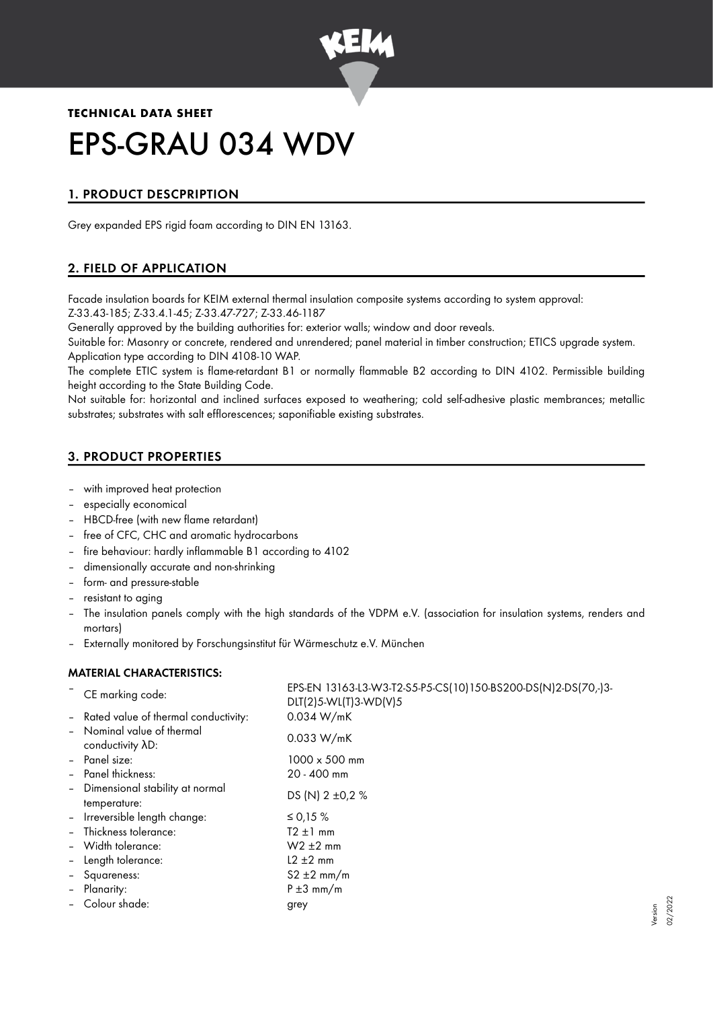

# **TECHNICAL DATA SHEET** EPS-GRAU 034 WDV

# 1. PRODUCT DESCPRIPTION

Grey expanded EPS rigid foam according to DIN EN 13163.

# 2. FIELD OF APPLICATION

Facade insulation boards for KEIM external thermal insulation composite systems according to system approval: Z-33.43-185; Z-33.4.1-45; Z-33.47-727; Z-33.46-1187

Generally approved by the building authorities for: exterior walls; window and door reveals.

Suitable for: Masonry or concrete, rendered and unrendered; panel material in timber construction; ETICS upgrade system. Application type according to DIN 4108-10 WAP.

The complete ETIC system is flame-retardant B1 or normally flammable B2 according to DIN 4102. Permissible building height according to the State Building Code.

Not suitable for: horizontal and inclined surfaces exposed to weathering; cold self-adhesive plastic membrances; metallic substrates; substrates with salt efflorescences; saponifiable existing substrates.

# 3. PRODUCT PROPERTIES

- with improved heat protection
- especially economical
- HBCD-free (with new flame retardant)
- free of CFC, CHC and aromatic hydrocarbons
- fire behaviour: hardly inflammable B1 according to 4102
- dimensionally accurate and non-shrinking
- form- and pressure-stable
- resistant to aging
- The insulation panels comply with the high standards of the VDPM e.V. (association for insulation systems, renders and mortars)
- Externally monitored by Forschungsinstitut für Wärmeschutz e.V. München

## MATERIAL CHARACTERISTICS:

|                          | CE marking code:                                  | EPS-EN 13163-L3-W3-T2-S5-P5-CS(10)150-BS200-DS(N)2-DS(70,-)3-<br>DLT(2)5-WL(T)3-WD(V)5 |
|--------------------------|---------------------------------------------------|----------------------------------------------------------------------------------------|
|                          | - Rated value of thermal conductivity:            | 0.034 W/mK                                                                             |
|                          | - Nominal value of thermal<br>conductivity AD:    | 0.033 W/mK                                                                             |
|                          | - Panel size:                                     | $1000 \times 500$ mm                                                                   |
|                          | - Panel thickness:                                | 20 - 400 mm                                                                            |
|                          | - Dimensional stability at normal<br>temperature: | DS (N) 2 ±0,2 %                                                                        |
| $\overline{\phantom{a}}$ | Irreversible length change:                       | ≤ 0,15 %                                                                               |
|                          | - Thickness tolerance:                            | $T2 \pm 1$ mm                                                                          |
|                          | - Width tolerance:                                | $W2 \pm 2$ mm                                                                          |
| $\overline{\phantom{a}}$ | Length tolerance:                                 | $L2 \pm 2$ mm                                                                          |
|                          | - Squareness:                                     | $S2 \pm 2$ mm/m                                                                        |
| $\blacksquare$           | Planarity:                                        | $P \pm 3$ mm/m                                                                         |
|                          | - Colour shade:                                   | grey                                                                                   |
|                          |                                                   |                                                                                        |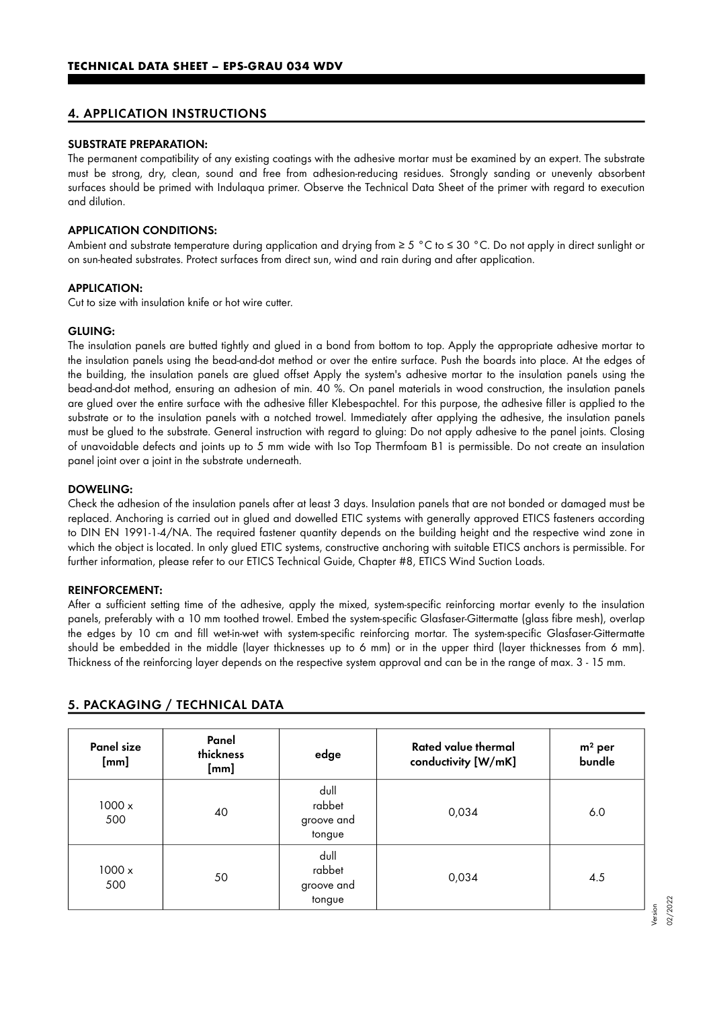#### 4. APPLICATION INSTRUCTIONS

#### SUBSTRATE PREPARATION:

The permanent compatibility of any existing coatings with the adhesive mortar must be examined by an expert. The substrate must be strong, dry, clean, sound and free from adhesion-reducing residues. Strongly sanding or unevenly absorbent surfaces should be primed with Indulaqua primer. Observe the Technical Data Sheet of the primer with regard to execution and dilution.

### APPLICATION CONDITIONS:

Ambient and substrate temperature during application and drying from ≥ 5 °C to ≤ 30 °C. Do not apply in direct sunlight or on sun-heated substrates. Protect surfaces from direct sun, wind and rain during and after application.

#### APPLICATION:

Cut to size with insulation knife or hot wire cutter.

#### GLUING:

The insulation panels are butted tightly and glued in a bond from bottom to top. Apply the appropriate adhesive mortar to the insulation panels using the bead-and-dot method or over the entire surface. Push the boards into place. At the edges of the building, the insulation panels are glued offset Apply the system's adhesive mortar to the insulation panels using the bead-and-dot method, ensuring an adhesion of min. 40 %. On panel materials in wood construction, the insulation panels are glued over the entire surface with the adhesive filler Klebespachtel. For this purpose, the adhesive filler is applied to the substrate or to the insulation panels with a notched trowel. Immediately after applying the adhesive, the insulation panels must be glued to the substrate. General instruction with regard to gluing: Do not apply adhesive to the panel joints. Closing of unavoidable defects and joints up to 5 mm wide with Iso Top Thermfoam B1 is permissible. Do not create an insulation panel joint over a joint in the substrate underneath.

#### DOWELING:

Check the adhesion of the insulation panels after at least 3 days. Insulation panels that are not bonded or damaged must be replaced. Anchoring is carried out in glued and dowelled ETIC systems with generally approved ETICS fasteners according to DIN EN 1991-1-4/NA. The required fastener quantity depends on the building height and the respective wind zone in which the object is located. In only glued ETIC systems, constructive anchoring with suitable ETICS anchors is permissible. For further information, please refer to our ETICS Technical Guide, Chapter #8, ETICS Wind Suction Loads.

#### REINFORCEMENT:

After a sufficient setting time of the adhesive, apply the mixed, system-specific reinforcing mortar evenly to the insulation panels, preferably with a 10 mm toothed trowel. Embed the system-specific Glasfaser-Gittermatte (glass fibre mesh), overlap the edges by 10 cm and fill wet-in-wet with system-specific reinforcing mortar. The system-specific Glasfaser-Gittermatte should be embedded in the middle (layer thicknesses up to 6 mm) or in the upper third (layer thicknesses from 6 mm). Thickness of the reinforcing layer depends on the respective system approval and can be in the range of max. 3 - 15 mm.

| Panel size<br>[mm]   | Panel<br>thickness<br>[mm] | edge                                   | <b>Rated value thermal</b><br>conductivity [W/mK] | $m2$ per<br>bundle |
|----------------------|----------------------------|----------------------------------------|---------------------------------------------------|--------------------|
| $1000 \times$<br>500 | 40                         | dull<br>rabbet<br>groove and<br>tongue | 0,034                                             | 6.0                |
| 1000x<br>500         | 50                         | dull<br>rabbet<br>groove and<br>tongue | 0,034                                             | 4.5                |

#### 5. PACKAGING / TECHNICAL DATA

Version 02/2022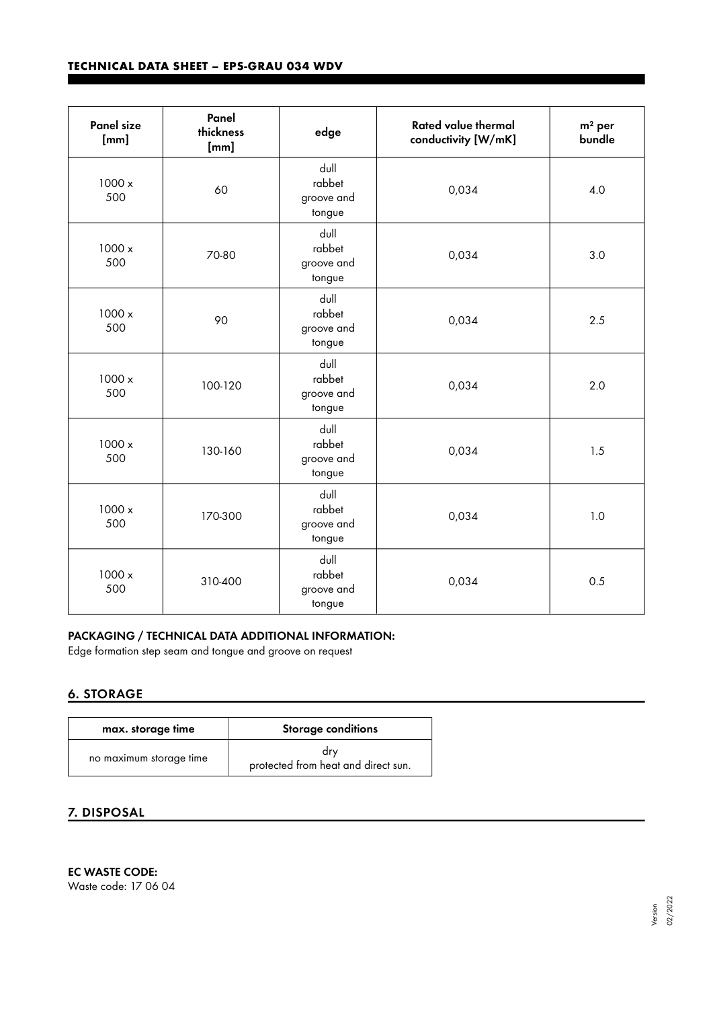| <b>Panel size</b><br>[mm] | Panel<br>thickness<br>[mm] | edge                                   | <b>Rated value thermal</b><br>conductivity [W/mK] | $m2$ per<br>bundle |
|---------------------------|----------------------------|----------------------------------------|---------------------------------------------------|--------------------|
| 1000 x<br>500             | 60                         | dull<br>rabbet<br>groove and<br>tongue | 0,034                                             | 4.0                |
| 1000 x<br>500             | 70-80                      | dull<br>rabbet<br>groove and<br>tongue | 0,034                                             | 3.0                |
| 1000 x<br>500             | 90                         | dull<br>rabbet<br>groove and<br>tongue | 0,034                                             | 2.5                |
| 1000 x<br>500             | 100-120                    | dull<br>rabbet<br>groove and<br>tongue | 0,034                                             | 2.0                |
| 1000 x<br>500             | 130-160                    | dull<br>rabbet<br>groove and<br>tongue | 0,034                                             | 1.5                |
| 1000 x<br>500             | 170-300                    | dull<br>rabbet<br>groove and<br>tongue | 0,034                                             | 1.0                |
| 1000 x<br>500             | 310-400                    | dull<br>rabbet<br>groove and<br>tongue | 0,034                                             | 0.5                |

## PACKAGING / TECHNICAL DATA ADDITIONAL INFORMATION:

Edge formation step seam and tongue and groove on request

## 6. STORAGE

| max. storage time       | <b>Storage conditions</b>                  |
|-------------------------|--------------------------------------------|
| no maximum storage time | drv<br>protected from heat and direct sun. |

# 7. DISPOSAL